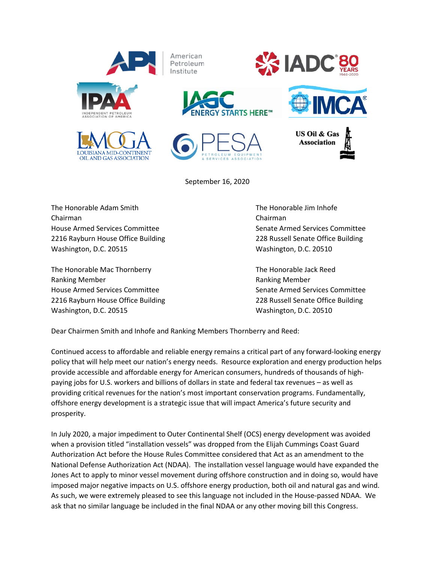

September 16, 2020

The Honorable Adam Smith The Honorable Jim Inhofe Chairman Chairman House Armed Services Committee Senate Armed Services Committee 2216 Rayburn House Office Building 228 Russell Senate Office Building Washington, D.C. 20515 Washington, D.C. 20510

The Honorable Mac Thornberry The Honorable Jack Reed Ranking Member **Ranking Member Ranking Member Ranking Member** House Armed Services Committee Senate Armed Services Committee 2216 Rayburn House Office Building 228 Russell Senate Office Building Washington, D.C. 20515 Washington, D.C. 20510

Dear Chairmen Smith and Inhofe and Ranking Members Thornberry and Reed:

Continued access to affordable and reliable energy remains a critical part of any forward-looking energy policy that will help meet our nation's energy needs. Resource exploration and energy production helps provide accessible and affordable energy for American consumers, hundreds of thousands of highpaying jobs for U.S. workers and billions of dollars in state and federal tax revenues – as well as providing critical revenues for the nation's most important conservation programs. Fundamentally, offshore energy development is a strategic issue that will impact America's future security and prosperity.

In July 2020, a major impediment to Outer Continental Shelf (OCS) energy development was avoided when a provision titled "installation vessels" was dropped from the Elijah Cummings Coast Guard Authorization Act before the House Rules Committee considered that Act as an amendment to the National Defense Authorization Act (NDAA). The installation vessel language would have expanded the Jones Act to apply to minor vessel movement during offshore construction and in doing so, would have imposed major negative impacts on U.S. offshore energy production, both oil and natural gas and wind. As such, we were extremely pleased to see this language not included in the House-passed NDAA. We ask that no similar language be included in the final NDAA or any other moving bill this Congress.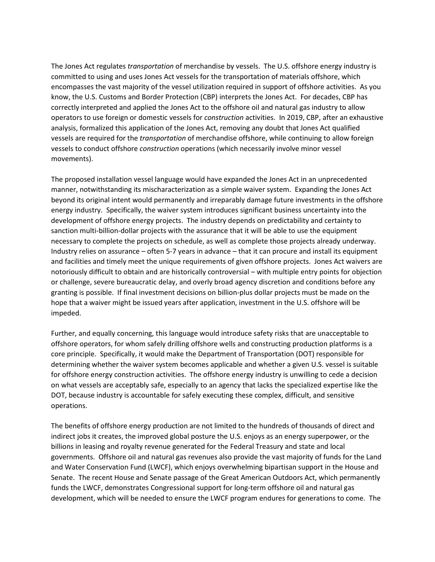The Jones Act regulates *transportation* of merchandise by vessels. The U.S. offshore energy industry is committed to using and uses Jones Act vessels for the transportation of materials offshore, which encompasses the vast majority of the vessel utilization required in support of offshore activities. As you know, the U.S. Customs and Border Protection (CBP) interprets the Jones Act. For decades, CBP has correctly interpreted and applied the Jones Act to the offshore oil and natural gas industry to allow operators to use foreign or domestic vessels for *construction* activities. In 2019, CBP, after an exhaustive analysis, formalized this application of the Jones Act, removing any doubt that Jones Act qualified vessels are required for the *transportation* of merchandise offshore, while continuing to allow foreign vessels to conduct offshore *construction* operations (which necessarily involve minor vessel movements).

The proposed installation vessel language would have expanded the Jones Act in an unprecedented manner, notwithstanding its mischaracterization as a simple waiver system. Expanding the Jones Act beyond its original intent would permanently and irreparably damage future investments in the offshore energy industry. Specifically, the waiver system introduces significant business uncertainty into the development of offshore energy projects. The industry depends on predictability and certainty to sanction multi-billion-dollar projects with the assurance that it will be able to use the equipment necessary to complete the projects on schedule, as well as complete those projects already underway. Industry relies on assurance – often 5-7 years in advance – that it can procure and install its equipment and facilities and timely meet the unique requirements of given offshore projects. Jones Act waivers are notoriously difficult to obtain and are historically controversial – with multiple entry points for objection or challenge, severe bureaucratic delay, and overly broad agency discretion and conditions before any granting is possible. If final investment decisions on billion-plus dollar projects must be made on the hope that a waiver might be issued years after application, investment in the U.S. offshore will be impeded.

Further, and equally concerning, this language would introduce safety risks that are unacceptable to offshore operators, for whom safely drilling offshore wells and constructing production platforms is a core principle. Specifically, it would make the Department of Transportation (DOT) responsible for determining whether the waiver system becomes applicable and whether a given U.S. vessel is suitable for offshore energy construction activities. The offshore energy industry is unwilling to cede a decision on what vessels are acceptably safe, especially to an agency that lacks the specialized expertise like the DOT, because industry is accountable for safely executing these complex, difficult, and sensitive operations.

The benefits of offshore energy production are not limited to the hundreds of thousands of direct and indirect jobs it creates, the improved global posture the U.S. enjoys as an energy superpower, or the billions in leasing and royalty revenue generated for the Federal Treasury and state and local governments. Offshore oil and natural gas revenues also provide the vast majority of funds for the Land and Water Conservation Fund (LWCF), which enjoys overwhelming bipartisan support in the House and Senate. The recent House and Senate passage of the Great American Outdoors Act, which permanently funds the LWCF, demonstrates Congressional support for long-term offshore oil and natural gas development, which will be needed to ensure the LWCF program endures for generations to come. The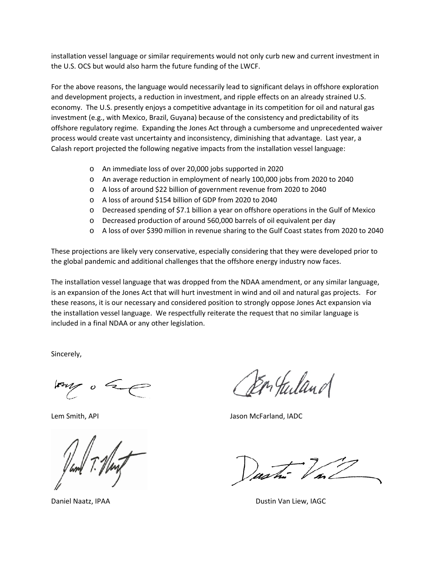installation vessel language or similar requirements would not only curb new and current investment in the U.S. OCS but would also harm the future funding of the LWCF.

For the above reasons, the language would necessarily lead to significant delays in offshore exploration and development projects, a reduction in investment, and ripple effects on an already strained U.S. economy. The U.S. presently enjoys a competitive advantage in its competition for oil and natural gas investment (e.g., with Mexico, Brazil, Guyana) because of the consistency and predictability of its offshore regulatory regime. Expanding the Jones Act through a cumbersome and unprecedented waiver process would create vast uncertainty and inconsistency, diminishing that advantage. Last year, a Calash report projected the following negative impacts from the installation vessel language:

- o An immediate loss of over 20,000 jobs supported in 2020
- o An average reduction in employment of nearly 100,000 jobs from 2020 to 2040
- o A loss of around \$22 billion of government revenue from 2020 to 2040
- o A loss of around \$154 billion of GDP from 2020 to 2040
- o Decreased spending of \$7.1 billion a year on offshore operations in the Gulf of Mexico
- o Decreased production of around 560,000 barrels of oil equivalent per day
- o A loss of over \$390 million in revenue sharing to the Gulf Coast states from 2020 to 2040

These projections are likely very conservative, especially considering that they were developed prior to the global pandemic and additional challenges that the offshore energy industry now faces.

The installation vessel language that was dropped from the NDAA amendment, or any similar language, is an expansion of the Jones Act that will hurt investment in wind and oil and natural gas projects. For these reasons, it is our necessary and considered position to strongly oppose Jones Act expansion via the installation vessel language. We respectfully reiterate the request that no similar language is included in a final NDAA or any other legislation.

Sincerely,

 $\overline{\phantom{a}}$   $\overline{\phantom{a}}$ 

En Juland

Lem Smith, API **Jason McFarland, IADC** Jason McFarland, IADC

Daniel Naatz, IPAA Dustin Van Liew, IAGC